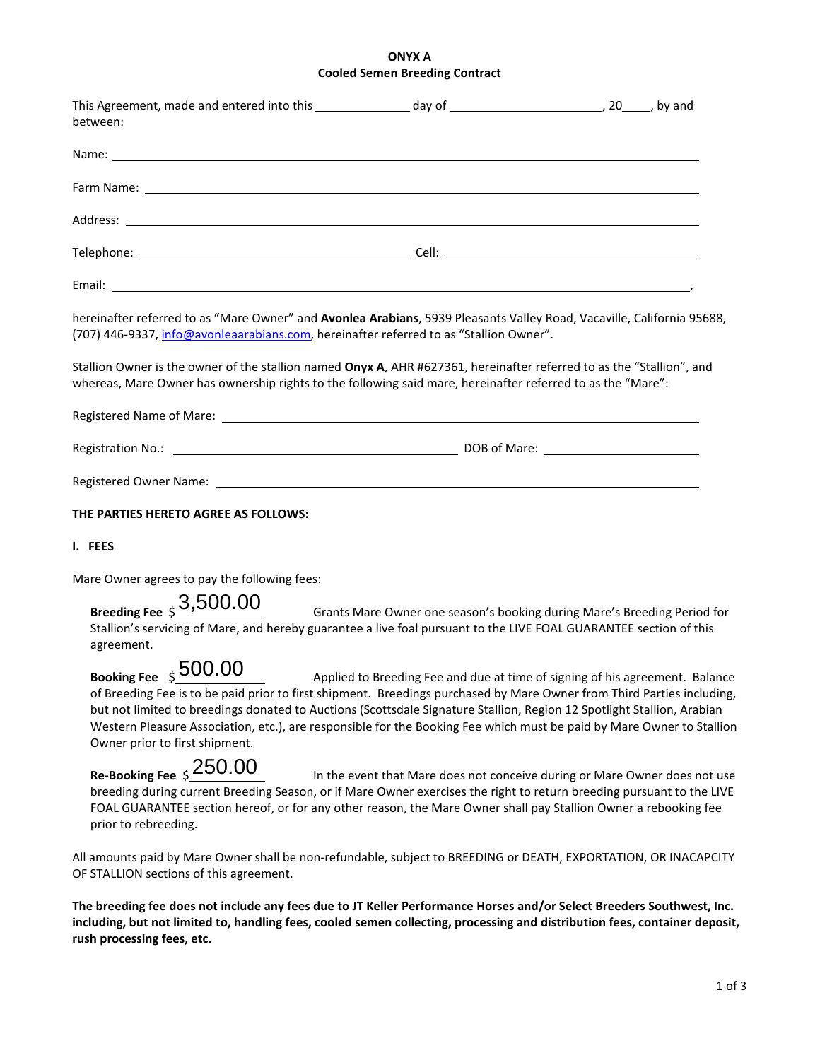# **ONYX A Cooled Semen Breeding Contract**

| between:                                                                                                                                                                                                                                                                                                                                                                                                                                        |                                                                              |  |
|-------------------------------------------------------------------------------------------------------------------------------------------------------------------------------------------------------------------------------------------------------------------------------------------------------------------------------------------------------------------------------------------------------------------------------------------------|------------------------------------------------------------------------------|--|
|                                                                                                                                                                                                                                                                                                                                                                                                                                                 |                                                                              |  |
|                                                                                                                                                                                                                                                                                                                                                                                                                                                 |                                                                              |  |
|                                                                                                                                                                                                                                                                                                                                                                                                                                                 |                                                                              |  |
|                                                                                                                                                                                                                                                                                                                                                                                                                                                 |                                                                              |  |
|                                                                                                                                                                                                                                                                                                                                                                                                                                                 |                                                                              |  |
| hereinafter referred to as "Mare Owner" and Avonlea Arabians, 5939 Pleasants Valley Road, Vacaville, California 95688,<br>(707) 446-9337, info@avonleaarabians.com, hereinafter referred to as "Stallion Owner".                                                                                                                                                                                                                                |                                                                              |  |
| Stallion Owner is the owner of the stallion named Onyx A, AHR #627361, hereinafter referred to as the "Stallion", and<br>whereas, Mare Owner has ownership rights to the following said mare, hereinafter referred to as the "Mare":                                                                                                                                                                                                            |                                                                              |  |
|                                                                                                                                                                                                                                                                                                                                                                                                                                                 |                                                                              |  |
|                                                                                                                                                                                                                                                                                                                                                                                                                                                 |                                                                              |  |
|                                                                                                                                                                                                                                                                                                                                                                                                                                                 |                                                                              |  |
| THE PARTIES HERETO AGREE AS FOLLOWS:                                                                                                                                                                                                                                                                                                                                                                                                            |                                                                              |  |
| I. FEES                                                                                                                                                                                                                                                                                                                                                                                                                                         |                                                                              |  |
| Mare Owner agrees to pay the following fees:                                                                                                                                                                                                                                                                                                                                                                                                    |                                                                              |  |
| Breeding Fee $$3,500.00$<br>Stallion's servicing of Mare, and hereby guarantee a live foal pursuant to the LIVE FOAL GUARANTEE section of this<br>agreement.                                                                                                                                                                                                                                                                                    | Grants Mare Owner one season's booking during Mare's Breeding Period for     |  |
| Booking Fee $\frac{1}{5}$ 500.00<br>of Breeding Fee is to be paid prior to first shipment. Breedings purchased by Mare Owner from Third Parties including,<br>but not limited to breedings donated to Auctions (Scottsdale Signature Stallion, Region 12 Spotlight Stallion, Arabian<br>Western Pleasure Association, etc.), are responsible for the Booking Fee which must be paid by Mare Owner to Stallion<br>Owner prior to first shipment. | Applied to Breeding Fee and due at time of signing of his agreement. Balance |  |
| Re-Booking Fee $\pm 250.00$<br>breeding during current Breeding Season, or if Mare Owner exercises the right to return breeding pursuant to the LIVE<br>FOAL GUARANTEE section hereof, or for any other reason, the Mare Owner shall pay Stallion Owner a rebooking fee<br>prior to rebreeding.                                                                                                                                                 | In the event that Mare does not conceive during or Mare Owner does not use   |  |
| All amounts paid by Mare Owner shall be non-refundable, subject to BREEDING or DEATH, EXPORTATION, OR INACAPCITY<br>OF STALLION sections of this agreement.                                                                                                                                                                                                                                                                                     |                                                                              |  |

**The breeding fee does not include any fees due to JT Keller Performance Horses and/or Select Breeders Southwest, Inc. including, but not limited to, handling fees, cooled semen collecting, processing and distribution fees, container deposit, rush processing fees, etc.**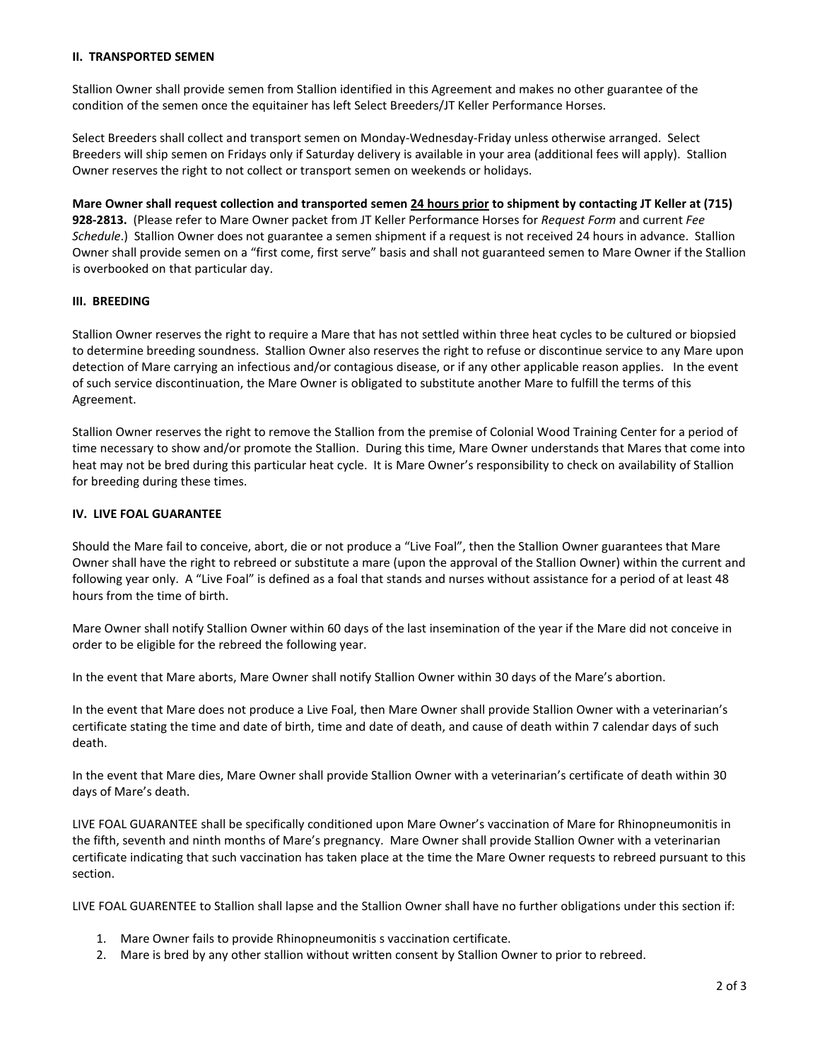#### **II. TRANSPORTED SEMEN**

Stallion Owner shall provide semen from Stallion identified in this Agreement and makes no other guarantee of the condition of the semen once the equitainer has left Select Breeders/JT Keller Performance Horses.

Select Breeders shall collect and transport semen on Monday-Wednesday-Friday unless otherwise arranged. Select Breeders will ship semen on Fridays only if Saturday delivery is available in your area (additional fees will apply). Stallion Owner reserves the right to not collect or transport semen on weekends or holidays.

**Mare Owner shall request collection and transported semen 24 hours prior to shipment by contacting JT Keller at (715) 928-2813.** (Please refer to Mare Owner packet from JT Keller Performance Horses for *Request Form* and current *Fee Schedule*.) Stallion Owner does not guarantee a semen shipment if a request is not received 24 hours in advance. Stallion Owner shall provide semen on a "first come, first serve" basis and shall not guaranteed semen to Mare Owner if the Stallion is overbooked on that particular day.

## **III. BREEDING**

Stallion Owner reserves the right to require a Mare that has not settled within three heat cycles to be cultured or biopsied to determine breeding soundness. Stallion Owner also reserves the right to refuse or discontinue service to any Mare upon detection of Mare carrying an infectious and/or contagious disease, or if any other applicable reason applies. In the event of such service discontinuation, the Mare Owner is obligated to substitute another Mare to fulfill the terms of this Agreement.

Stallion Owner reserves the right to remove the Stallion from the premise of Colonial Wood Training Center for a period of time necessary to show and/or promote the Stallion. During this time, Mare Owner understands that Mares that come into heat may not be bred during this particular heat cycle. It is Mare Owner's responsibility to check on availability of Stallion for breeding during these times.

## **IV. LIVE FOAL GUARANTEE**

Should the Mare fail to conceive, abort, die or not produce a "Live Foal", then the Stallion Owner guarantees that Mare Owner shall have the right to rebreed or substitute a mare (upon the approval of the Stallion Owner) within the current and following year only. A "Live Foal" is defined as a foal that stands and nurses without assistance for a period of at least 48 hours from the time of birth.

Mare Owner shall notify Stallion Owner within 60 days of the last insemination of the year if the Mare did not conceive in order to be eligible for the rebreed the following year.

In the event that Mare aborts, Mare Owner shall notify Stallion Owner within 30 days of the Mare's abortion.

In the event that Mare does not produce a Live Foal, then Mare Owner shall provide Stallion Owner with a veterinarian's certificate stating the time and date of birth, time and date of death, and cause of death within 7 calendar days of such death.

In the event that Mare dies, Mare Owner shall provide Stallion Owner with a veterinarian's certificate of death within 30 days of Mare's death.

LIVE FOAL GUARANTEE shall be specifically conditioned upon Mare Owner's vaccination of Mare for Rhinopneumonitis in the fifth, seventh and ninth months of Mare's pregnancy. Mare Owner shall provide Stallion Owner with a veterinarian certificate indicating that such vaccination has taken place at the time the Mare Owner requests to rebreed pursuant to this section.

LIVE FOAL GUARENTEE to Stallion shall lapse and the Stallion Owner shall have no further obligations under this section if:

- 1. Mare Owner fails to provide Rhinopneumonitis s vaccination certificate.
- 2. Mare is bred by any other stallion without written consent by Stallion Owner to prior to rebreed.